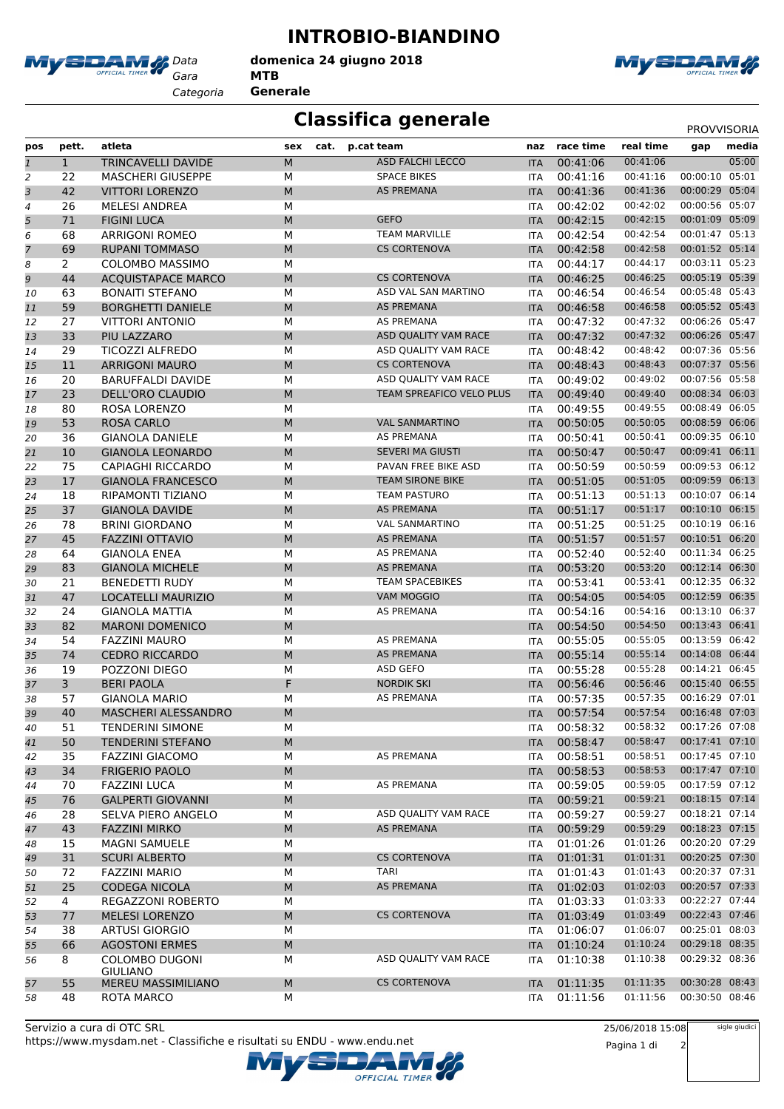

*Gara* **MTB**

*Categoria* **Generale**





MySDAM

## **Classifica generale** PROVVISORIA

| pos            | pett.          | atleta                                       | sex       | cat. | p.cat team                         | naz                      | race time            | real time               | gap                              | media |
|----------------|----------------|----------------------------------------------|-----------|------|------------------------------------|--------------------------|----------------------|-------------------------|----------------------------------|-------|
| $\mathbf{1}$   | $\mathbf{1}$   | <b>TRINCAVELLI DAVIDE</b>                    | M         |      | <b>ASD FALCHI LECCO</b>            | <b>ITA</b>               | 00:41:06             | 00:41:06                |                                  | 05:00 |
| $\overline{c}$ | 22             | <b>MASCHERI GIUSEPPE</b>                     | М         |      | <b>SPACE BIKES</b>                 | <b>ITA</b>               | 00:41:16             | 00:41:16                | 00:00:10 05:01                   |       |
| 3              | 42             | <b>VITTORI LORENZO</b>                       | M         |      | AS PREMANA                         | <b>ITA</b>               | 00:41:36             | 00:41:36                | 00:00:29 05:04                   |       |
| 4              | 26             | <b>MELESI ANDREA</b>                         | M         |      |                                    | <b>ITA</b>               | 00:42:02             | 00:42:02                | 00:00:56 05:07                   |       |
| 5              | 71             | <b>FIGINI LUCA</b>                           | M         |      | <b>GEFO</b>                        | <b>ITA</b>               | 00:42:15             | 00:42:15                | 00:01:09 05:09                   |       |
| 6              | 68             | <b>ARRIGONI ROMEO</b>                        | M         |      | <b>TEAM MARVILLE</b>               | <b>ITA</b>               | 00:42:54             | 00:42:54                | 00:01:47 05:13                   |       |
| $\overline{7}$ | 69             | <b>RUPANI TOMMASO</b>                        | M         |      | <b>CS CORTENOVA</b>                | <b>ITA</b>               | 00:42:58             | 00:42:58                | 00:01:52 05:14                   |       |
| 8              | 2              | <b>COLOMBO MASSIMO</b>                       | M         |      |                                    | <b>ITA</b>               | 00:44:17             | 00:44:17                | 00:03:11 05:23                   |       |
| 9              | 44             | <b>ACQUISTAPACE MARCO</b>                    | M         |      | <b>CS CORTENOVA</b>                | <b>ITA</b>               | 00:46:25             | 00:46:25                | 00:05:19 05:39                   |       |
| 10             | 63             | <b>BONAITI STEFANO</b>                       | M         |      | ASD VAL SAN MARTINO                | <b>ITA</b>               | 00:46:54             | 00:46:54                | 00:05:48 05:43                   |       |
| 11             | 59             | <b>BORGHETTI DANIELE</b>                     | M         |      | AS PREMANA                         | <b>ITA</b>               | 00:46:58             | 00:46:58                | 00:05:52 05:43                   |       |
| 12             | 27             | <b>VITTORI ANTONIO</b>                       | M         |      | AS PREMANA                         | ITA                      | 00:47:32             | 00:47:32                | 00:06:26 05:47                   |       |
| 13             | 33             | PIU LAZZARO                                  | M         |      | ASD QUALITY VAM RACE               | <b>ITA</b>               | 00:47:32             | 00:47:32                | 00:06:26 05:47                   |       |
| 14             | 29             | <b>TICOZZI ALFREDO</b>                       | M         |      | ASD QUALITY VAM RACE               | <b>ITA</b>               | 00:48:42             | 00:48:42                | 00:07:36 05:56                   |       |
| 15             | 11             | <b>ARRIGONI MAURO</b>                        | M         |      | <b>CS CORTENOVA</b>                | <b>ITA</b>               | 00:48:43             | 00:48:43                | 00:07:37 05:56                   |       |
| 16             | 20             | <b>BARUFFALDI DAVIDE</b>                     | М         |      | ASD QUALITY VAM RACE               | <b>ITA</b>               | 00:49:02             | 00:49:02                | 00:07:56 05:58                   |       |
| 17             | 23             | <b>DELL'ORO CLAUDIO</b>                      | M         |      | TEAM SPREAFICO VELO PLUS           | <b>ITA</b>               | 00:49:40             | 00:49:40                | 00:08:34 06:03                   |       |
| 18             | 80             | ROSA LORENZO                                 | M         |      |                                    | ITA                      | 00:49:55             | 00:49:55                | 00:08:49 06:05                   |       |
| 19             | 53             | <b>ROSA CARLO</b>                            | M         |      | <b>VAL SANMARTINO</b>              | <b>ITA</b>               | 00:50:05             | 00:50:05                | 00:08:59 06:06                   |       |
| 20             | 36             | <b>GIANOLA DANIELE</b>                       | M         |      | <b>AS PREMANA</b>                  | <b>ITA</b>               | 00:50:41             | 00:50:41                | 00:09:35 06:10                   |       |
| 21             | 10             | <b>GIANOLA LEONARDO</b>                      | M         |      | <b>SEVERI MA GIUSTI</b>            | <b>ITA</b>               | 00:50:47             | 00:50:47                | 00:09:41 06:11                   |       |
| 22             | 75             | CAPIAGHI RICCARDO                            | M         |      | PAVAN FREE BIKE ASD                | <b>ITA</b>               | 00:50:59             | 00:50:59                | 00:09:53 06:12                   |       |
| 23             | 17             | <b>GIANOLA FRANCESCO</b>                     | M         |      | <b>TEAM SIRONE BIKE</b>            | <b>ITA</b>               | 00:51:05             | 00:51:05                | 00:09:59 06:13                   |       |
| 24             | 18             | RIPAMONTI TIZIANO                            | М         |      | <b>TEAM PASTURO</b>                | ITA                      | 00:51:13             | 00:51:13                | 00:10:07 06:14                   |       |
| 25             | 37             | <b>GIANOLA DAVIDE</b>                        | M         |      | <b>AS PREMANA</b>                  | <b>ITA</b>               | 00:51:17             | 00:51:17                | 00:10:10 06:15                   |       |
| 26             | 78             | <b>BRINI GIORDANO</b>                        | M         |      | <b>VAL SANMARTINO</b>              | <b>ITA</b>               | 00:51:25             | 00:51:25                | 00:10:19 06:16                   |       |
| 27             | 45             | <b>FAZZINI OTTAVIO</b>                       | M         |      | AS PREMANA                         | <b>ITA</b>               | 00:51:57             | 00:51:57                | 00:10:51 06:20                   |       |
| 28             | 64             | <b>GIANOLA ENEA</b>                          | M         |      | AS PREMANA                         | <b>ITA</b>               | 00:52:40             | 00:52:40                | 00:11:34 06:25                   |       |
| 29             | 83             | <b>GIANOLA MICHELE</b>                       | M         |      | AS PREMANA                         | <b>ITA</b>               | 00:53:20             | 00:53:20                | 00:12:14 06:30                   |       |
| 30             | 21             | <b>BENEDETTI RUDY</b>                        | M         |      | <b>TEAM SPACEBIKES</b>             | <b>ITA</b>               | 00:53:41             | 00:53:41                | 00:12:35 06:32                   |       |
| 31             | 47             | <b>LOCATELLI MAURIZIO</b>                    | M         |      | VAM MOGGIO                         | <b>ITA</b>               | 00:54:05             | 00:54:05                | 00:12:59 06:35                   |       |
| 32             | 24             | <b>GIANOLA MATTIA</b>                        | M         |      | AS PREMANA                         | <b>ITA</b>               | 00:54:16             | 00:54:16                | 00:13:10 06:37                   |       |
| 33             | 82             | <b>MARONI DOMENICO</b>                       | M         |      |                                    | <b>ITA</b>               | 00:54:50             | 00:54:50                | 00:13:43 06:41                   |       |
| 34             | 54             | <b>FAZZINI MAURO</b>                         | M         |      | <b>AS PREMANA</b>                  | <b>ITA</b>               | 00:55:05             | 00:55:05                | 00:13:59 06:42                   |       |
| 35             | 74             | <b>CEDRO RICCARDO</b>                        | M         |      | <b>AS PREMANA</b>                  | <b>ITA</b>               | 00:55:14             | 00:55:14                | 00:14:08 06:44                   |       |
| 36             | 19             | POZZONI DIEGO                                | M         |      | ASD GEFO                           | ITA                      | 00:55:28             | 00:55:28                | 00:14:21 06:45                   |       |
| 37             | 3              | <b>BERI PAOLA</b>                            | F         |      | <b>NORDIK SKI</b>                  | <b>ITA</b>               | 00:56:46             | 00:56:46                | 00:15:40 06:55                   |       |
| 38             | 57             | <b>GIANOLA MARIO</b>                         | М         |      | AS PREMANA                         | <b>ITA</b>               | 00:57:35             | 00:57:35                | 00:16:29 07:01                   |       |
| 39             | 40             | MASCHERI ALESSANDRO                          | M         |      |                                    | <b>ITA</b>               | 00:57:54             | 00:57:54                | 00:16:48 07:03                   |       |
| 40             | 51             | <b>TENDERINI SIMONE</b>                      | ${\sf M}$ |      |                                    |                          | ITA 00:58:32         | 00:58:32 00:17:26 07:08 |                                  |       |
| 41             | 50             | <b>TENDERINI STEFANO</b>                     | М         |      |                                    | <b>ITA</b>               | 00:58:47             | 00:58:47                | 00:17:41 07:10                   |       |
| 42             | 35             | <b>FAZZINI GIACOMO</b>                       | М         |      | AS PREMANA                         | <b>ITA</b>               | 00:58:51             | 00:58:51                | 00:17:45 07:10                   |       |
| 43             | 34             | <b>FRIGERIO PAOLO</b>                        | М         |      | <b>AS PREMANA</b>                  | <b>ITA</b>               | 00:58:53             | 00:58:53                | 00:17:47 07:10<br>00:17:59 07:12 |       |
| 44             | 70             | <b>FAZZINI LUCA</b>                          | M         |      |                                    | ITA                      | 00:59:05             | 00:59:05                |                                  |       |
| 45             | 76             | <b>GALPERTI GIOVANNI</b>                     | М         |      |                                    | <b>ITA</b>               | 00:59:21             | 00:59:21<br>00:59:27    | 00:18:15 07:14<br>00:18:21 07:14 |       |
| 46             | 28<br>43       | SELVA PIERO ANGELO                           | М<br>M    |      | ASD QUALITY VAM RACE<br>AS PREMANA | <b>ITA</b>               | 00:59:27             | 00:59:29                | 00:18:23 07:15                   |       |
| 47             | 15             | <b>FAZZINI MIRKO</b><br><b>MAGNI SAMUELE</b> | М         |      |                                    | <b>ITA</b>               | 00:59:29<br>01:01:26 | 01:01:26                | 00:20:20 07:29                   |       |
| 48             | 31             | <b>SCURI ALBERTO</b>                         | М         |      | <b>CS CORTENOVA</b>                | ITA                      | 01:01:31             | 01:01:31                | 00:20:25 07:30                   |       |
| 49             | 72             | <b>FAZZINI MARIO</b>                         | М         |      | <b>TARI</b>                        | <b>ITA</b><br><b>ITA</b> | 01:01:43             | 01:01:43                | 00:20:37 07:31                   |       |
| 50             | 25             | <b>CODEGA NICOLA</b>                         | М         |      | AS PREMANA                         |                          | 01:02:03             | 01:02:03                | 00:20:57 07:33                   |       |
| 51<br>52       | $\overline{4}$ | REGAZZONI ROBERTO                            | М         |      |                                    | <b>ITA</b><br>ITA        | 01:03:33             | 01:03:33                | 00:22:27 07:44                   |       |
| 53             | 77             | <b>MELESI LORENZO</b>                        | M         |      | <b>CS CORTENOVA</b>                | <b>ITA</b>               | 01:03:49             | 01:03:49                | 00:22:43 07:46                   |       |
| 54             | 38             | <b>ARTUSI GIORGIO</b>                        | М         |      |                                    | <b>ITA</b>               | 01:06:07             | 01:06:07                | 00:25:01 08:03                   |       |
| 55             | 66             | <b>AGOSTONI ERMES</b>                        | M         |      |                                    | <b>ITA</b>               | 01:10:24             | 01:10:24                | 00:29:18 08:35                   |       |
| 56             | 8              | <b>COLOMBO DUGONI</b>                        | М         |      | ASD QUALITY VAM RACE               | <b>ITA</b>               | 01:10:38             | 01:10:38                | 00:29:32 08:36                   |       |
|                |                | <b>GIULIANO</b>                              |           |      |                                    |                          |                      |                         |                                  |       |
| 57             | 55             | MEREU MASSIMILIANO                           | M         |      | <b>CS CORTENOVA</b>                | <b>ITA</b>               | 01:11:35             | 01:11:35                | 00:30:28 08:43                   |       |
| 58             | 48             | ROTA MARCO                                   | М         |      |                                    | <b>ITA</b>               | 01:11:56             | 01:11:56                | 00:30:50 08:46                   |       |

https://www.mysdam.net - Classifiche e risultati su ENDU - www.endu.net Servizio a cura di OTC SRL

25/06/2018 15:08 Pagina 1 di 2

OFFICIAL TIMER

sigle giudici